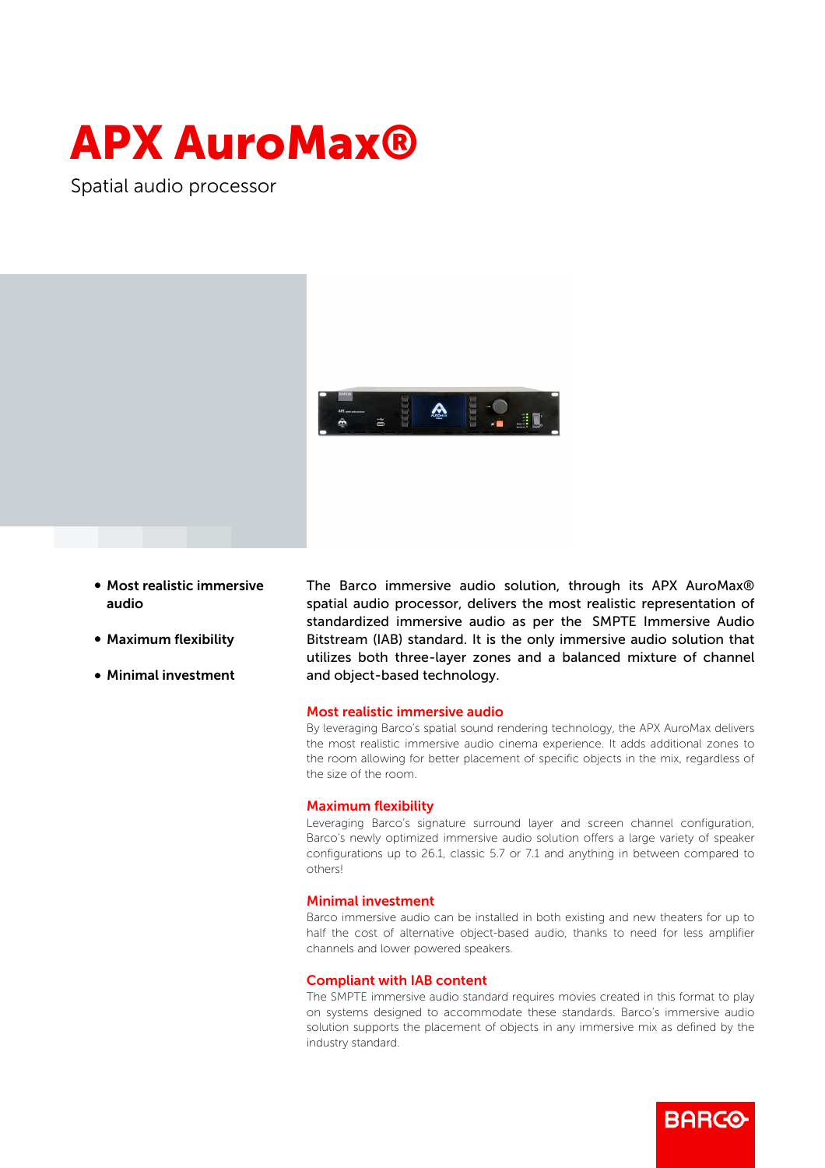# APX AuroMax®

Spatial audio processor



- Most realistic immersive audio
- Maximum flexibility
- **Minimal investment**

The Barco immersive audio solution, through its APX AuroMax® spatial audio processor, delivers the most realistic representation of standardized immersive audio as per the SMPTE Immersive Audio Bitstream (IAB) standard. It is the only immersive audio solution that utilizes both three-layer zones and a balanced mixture of channel and object-based technology.

#### Most realistic immersive audio

By leveraging Barco's spatial sound rendering technology, the APX AuroMax delivers the most realistic immersive audio cinema experience. It adds additional zones to the room allowing for better placement of specific objects in the mix, regardless of the size of the room.

### Maximum flexibility

Leveraging Barco's signature surround layer and screen channel configuration, Barco's newly optimized immersive audio solution offers a large variety of speaker configurations up to 26.1, classic 5.7 or 7.1 and anything in between compared to others!

## Minimal investment

Barco immersive audio can be installed in both existing and new theaters for up to half the cost of alternative object-based audio, thanks to need for less amplifier channels and lower powered speakers.

## Compliant with IAB content

The SMPTE immersive audio standard requires movies created in this format to play on systems designed to accommodate these standards. Barco's immersive audio solution supports the placement of objects in any immersive mix as defined by the industry standard.